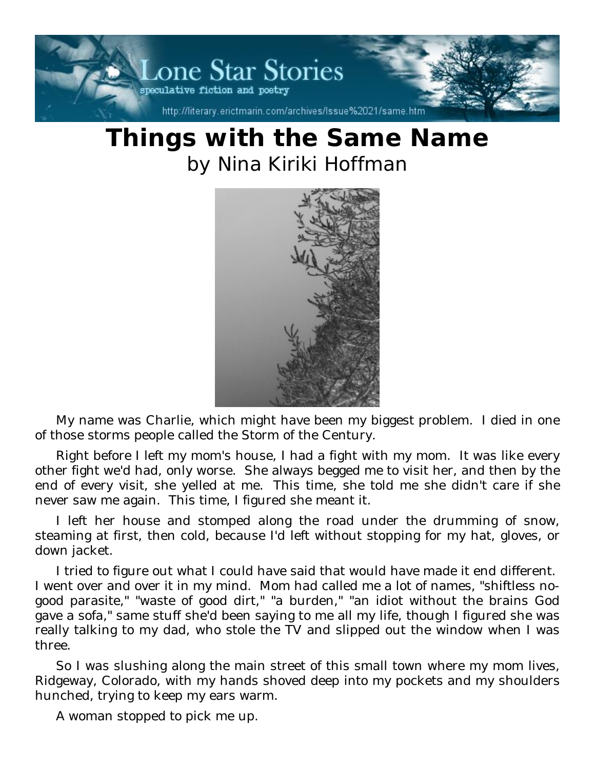

## **Things with the Same Name** *by Nina Kiriki Hoffman*



My name was Charlie, which might have been my biggest problem. I died in one of those storms people called the Storm of the Century.

Right before I left my mom's house, I had a fight with my mom. It was like every other fight we'd had, only worse. She always begged me to visit her, and then by the end of every visit, she yelled at me. This time, she told me she didn't care if she never saw me again. This time, I figured she meant it.

I left her house and stomped along the road under the drumming of snow, steaming at first, then cold, because I'd left without stopping for my hat, gloves, or down jacket.

I tried to figure out what I could have said that would have made it end different. I went over and over it in my mind. Mom had called me a lot of names, "shiftless nogood parasite," "waste of good dirt," "a burden," "an idiot without the brains God gave a sofa," same stuff she'd been saying to me all my life, though I figured she was really talking to my dad, who stole the TV and slipped out the window when I was three.

So I was slushing along the main street of this small town where my mom lives, Ridgeway, Colorado, with my hands shoved deep into my pockets and my shoulders hunched, trying to keep my ears warm.

A woman stopped to pick me up.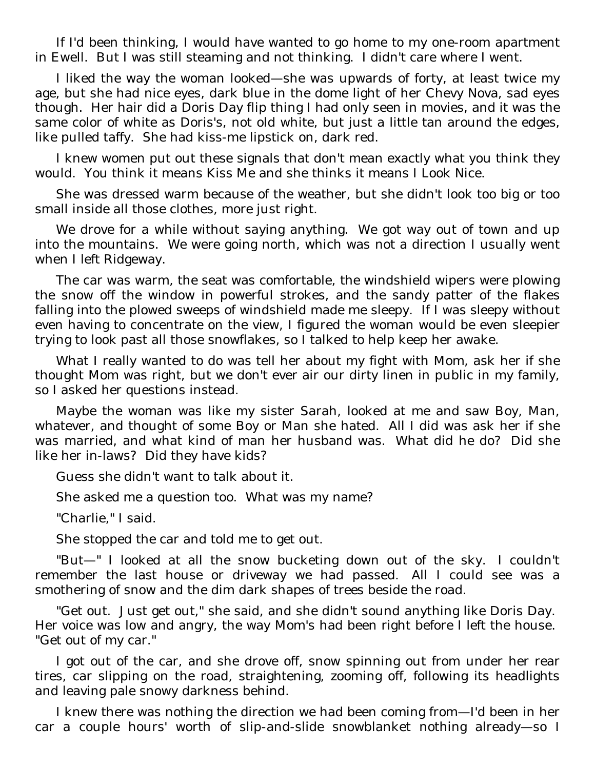If I'd been thinking, I would have wanted to go home to my one-room apartment in Ewell. But I was still steaming and not thinking. I didn't care where I went.

I liked the way the woman looked—she was upwards of forty, at least twice my age, but she had nice eyes, dark blue in the dome light of her Chevy Nova, sad eyes though. Her hair did a Doris Day flip thing I had only seen in movies, and it was the same color of white as Doris's, not old white, but just a little tan around the edges, like pulled taffy. She had kiss-me lipstick on, dark red.

I knew women put out these signals that don't mean exactly what you think they would. You think it means Kiss Me and she thinks it means I Look Nice.

She was dressed warm because of the weather, but she didn't look too big or too small inside all those clothes, more just right.

We drove for a while without saying anything. We got way out of town and up into the mountains. We were going north, which was not a direction I usually went when I left Ridgeway.

The car was warm, the seat was comfortable, the windshield wipers were plowing the snow off the window in powerful strokes, and the sandy patter of the flakes falling into the plowed sweeps of windshield made me sleepy. If I was sleepy without even having to concentrate on the view, I figured the woman would be even sleepier trying to look past all those snowflakes, so I talked to help keep her awake.

What I really wanted to do was tell her about my fight with Mom, ask her if she thought Mom was right, but we don't ever air our dirty linen in public in my family, so I asked her questions instead.

Maybe the woman was like my sister Sarah, looked at me and saw Boy, Man, whatever, and thought of some Boy or Man she hated. All I did was ask her if she was married, and what kind of man her husband was. What did he do? Did she like her in-laws? Did they have kids?

Guess she didn't want to talk about it.

She asked me a question too. What was my name?

"Charlie," I said.

She stopped the car and told me to get out.

"But—" I looked at all the snow bucketing down out of the sky. I couldn't remember the last house or driveway we had passed. All I could see was a smothering of snow and the dim dark shapes of trees beside the road.

"Get out. Just get out," she said, and she didn't sound anything like Doris Day. Her voice was low and angry, the way Mom's had been right before I left the house. "Get out of my car."

I got out of the car, and she drove off, snow spinning out from under her rear tires, car slipping on the road, straightening, zooming off, following its headlights and leaving pale snowy darkness behind.

I knew there was nothing the direction we had been coming from—I'd been in her car a couple hours' worth of slip-and-slide snowblanket nothing already—so I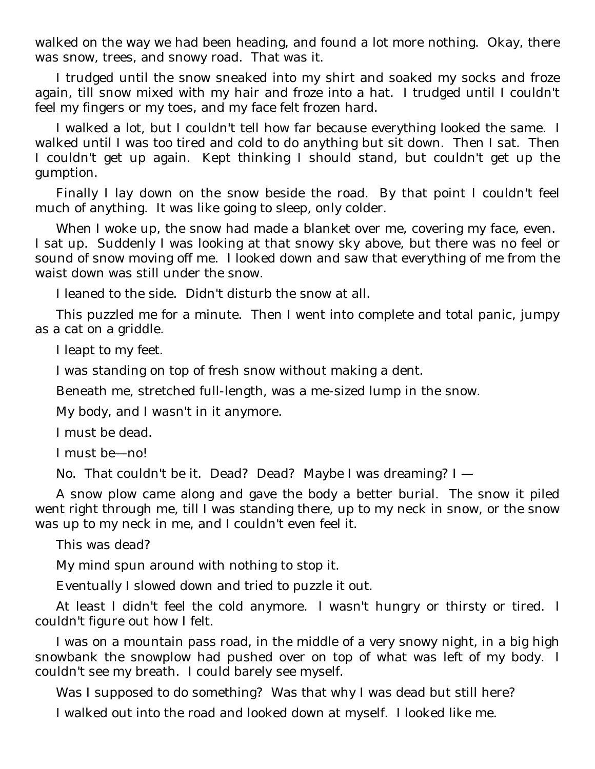walked on the way we had been heading, and found a lot more nothing. Okay, there was snow, trees, and snowy road. That was it.

I trudged until the snow sneaked into my shirt and soaked my socks and froze again, till snow mixed with my hair and froze into a hat. I trudged until I couldn't feel my fingers or my toes, and my face felt frozen hard.

I walked a lot, but I couldn't tell how far because everything looked the same. I walked until I was too tired and cold to do anything but sit down. Then I sat. Then I couldn't get up again. Kept thinking I should stand, but couldn't get up the gumption.

Finally I lay down on the snow beside the road. By that point I couldn't feel much of anything. It was like going to sleep, only colder.

When I woke up, the snow had made a blanket over me, covering my face, even. I sat up. Suddenly I was looking at that snowy sky above, but there was no feel or sound of snow moving off me. I looked down and saw that everything of me from the waist down was still under the snow.

I leaned to the side. Didn't disturb the snow at all.

This puzzled me for a minute. Then I went into complete and total panic, jumpy as a cat on a griddle.

I leapt to my feet.

I was standing on top of fresh snow without making a dent.

Beneath me, stretched full-length, was a me-sized lump in the snow.

My body, and I wasn't in it anymore.

I must be dead.

I must be—no!

No. That couldn't be it. Dead? Dead? Maybe I was dreaming? I —

A snow plow came along and gave the body a better burial. The snow it piled went right through me, till I was standing there, up to my neck in snow, or the snow was up to my neck in me, and I couldn't even feel it.

This was dead?

My mind spun around with nothing to stop it.

Eventually I slowed down and tried to puzzle it out.

At least I didn't feel the cold anymore. I wasn't hungry or thirsty or tired. I couldn't figure out how I felt.

I was on a mountain pass road, in the middle of a very snowy night, in a big high snowbank the snowplow had pushed over on top of what was left of my body. I couldn't see my breath. I could barely see myself.

Was I supposed to do something? Was that why I was dead but still here?

I walked out into the road and looked down at myself. I looked like me.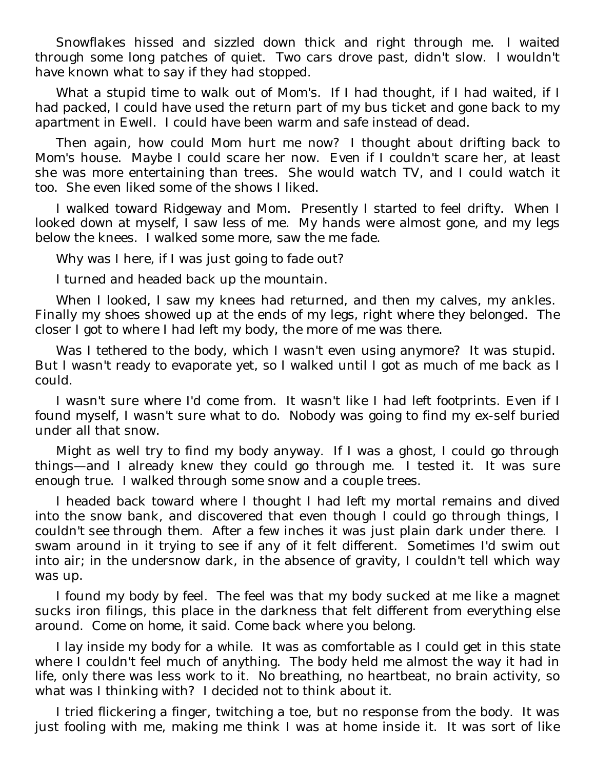Snowflakes hissed and sizzled down thick and right through me. I waited through some long patches of quiet. Two cars drove past, didn't slow. I wouldn't have known what to say if they *had* stopped.

What a stupid time to walk out of Mom's. If I had thought, if I had waited, if I had packed, I could have used the return part of my bus ticket and gone back to my apartment in Ewell. I could have been warm and safe instead of dead.

Then again, how could Mom hurt me now? I thought about drifting back to Mom's house. Maybe I could scare her now. Even if I couldn't scare her, at least she was more entertaining than trees. She would watch TV, and I could watch it too. She even liked some of the shows I liked.

I walked toward Ridgeway and Mom. Presently I started to feel drifty. When I looked down at myself, I saw less of me. My hands were almost gone, and my legs below the knees. I walked some more, saw the me fade.

Why was I here, if I was just going to fade out?

I turned and headed back up the mountain.

When I looked, I saw my knees had returned, and then my calves, my ankles. Finally my shoes showed up at the ends of my legs, right where they belonged. The closer I got to where I had left my body, the more of me was there.

Was I tethered to the body, which I wasn't even using anymore? It was stupid. But I wasn't ready to evaporate yet, so I walked until I got as much of me back as I could.

I wasn't sure where I'd come from. It wasn't like I had left footprints. Even if I found myself, I wasn't sure what to do. Nobody was going to find my ex-self buried under all that snow.

Might as well try to find my body anyway. If I was a ghost, I could go through things—and I already knew they could go through me. I tested it. It was sure enough true. I walked through some snow and a couple trees.

I headed back toward where I thought I had left my mortal remains and dived into the snow bank, and discovered that even though I could go through things, I couldn't *see* through them. After a few inches it was just plain dark under there. I swam around in it trying to see if any of it felt different. Sometimes I'd swim out into air; in the undersnow dark, in the absence of gravity, I couldn't tell which way was up.

I found my body by feel. The feel was that my body sucked at me like a magnet sucks iron filings, this place in the darkness that felt different from everything else around. *Come on home*, it said. *Come back where you belong*.

I lay inside my body for a while. It was as comfortable as I could get in this state where I couldn't feel much of anything. The body held me almost the way it had in life, only there was less work to it. No breathing, no heartbeat, no brain activity, so what was I thinking with? I decided not to think about it.

I tried flickering a finger, twitching a toe, but no response from the body. It was just fooling with me, making me think I was at home inside it. It was sort of like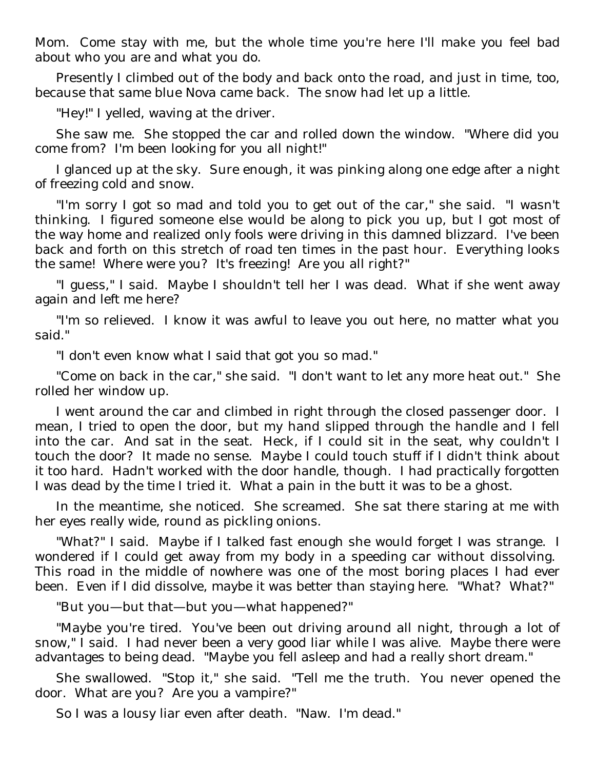Mom. Come stay with me, but the whole time you're here I'll make you feel bad about who you are and what you do.

Presently I climbed out of the body and back onto the road, and just in time, too, because that same blue Nova came back. The snow had let up a little.

"Hey!" I yelled, waving at the driver.

She saw me. She stopped the car and rolled down the window. "Where did you come from? I'm been looking for you all night!"

I glanced up at the sky. Sure enough, it was pinking along one edge after a night of freezing cold and snow.

"I'm sorry I got so mad and told you to get out of the car," she said. "I wasn't thinking. I figured someone else would be along to pick you up, but I got most of the way home and realized only fools were driving in this damned blizzard. I've been back and forth on this stretch of road ten times in the past hour. Everything looks the same! Where were you? It's freezing! Are you all right?"

"I guess," I said. Maybe I shouldn't tell her I was dead. What if she went away again and left me here?

"I'm so relieved. I know it was awful to leave you out here, no matter what you said."

"I don't even know what I said that got you so mad."

"Come on back in the car," she said. "I don't want to let any more heat out." She rolled her window up.

I went around the car and climbed in right through the closed passenger door. I mean, I tried to open the door, but my hand slipped through the handle and I fell into the car. And sat in the seat. Heck, if I could sit in the seat, why couldn't I touch the door? It made no sense. Maybe I could touch stuff if I didn't think about it too hard. Hadn't worked with the door handle, though. I had practically forgotten I was dead by the time I tried it. What a pain in the butt it was to be a ghost.

In the meantime, she noticed. She screamed. She sat there staring at me with her eyes really wide, round as pickling onions.

"What?" I said. Maybe if I talked fast enough she would forget I was strange. I wondered if I could get away from my body in a speeding car without dissolving. This road in the middle of nowhere was one of the most boring places I had ever been. Even if I did dissolve, maybe it was better than staying here. "What? What?"

"But you—but that—but you—what happened?"

"Maybe you're tired. You've been out driving around all night, through a lot of snow," I said. I had never been a very good liar while I was alive. Maybe there were advantages to being dead. "Maybe you fell asleep and had a really short dream."

She swallowed. "Stop it," she said. "Tell me the truth. You never opened the door. What are you? Are you a vampire?"

So I was a lousy liar even after death. "Naw. I'm dead."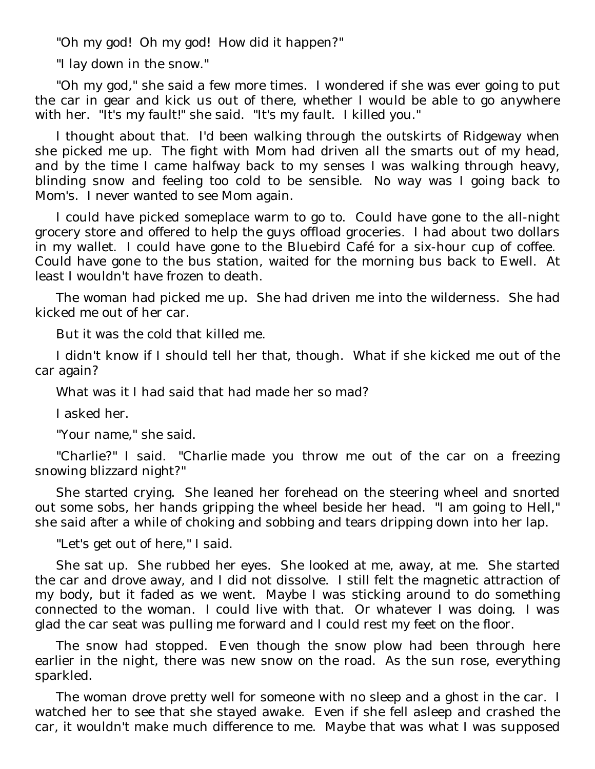"Oh my god! Oh my god! How did it happen?"

"I lay down in the snow."

"Oh my god," she said a few more times. I wondered if she was ever going to put the car in gear and kick us out of there, whether I would be able to go anywhere with her. "It's my fault!" she said. "It's my fault. I killed you."

I thought about that. I'd been walking through the outskirts of Ridgeway when she picked me up. The fight with Mom had driven all the smarts out of my head, and by the time I came halfway back to my senses I was walking through heavy, blinding snow and feeling too cold to be sensible. No way was I going back to Mom's. I never wanted to see Mom again.

I could have picked someplace warm to go to. Could have gone to the all-night grocery store and offered to help the guys offload groceries. I had about two dollars in my wallet. I could have gone to the Bluebird Café for a six-hour cup of coffee. Could have gone to the bus station, waited for the morning bus back to Ewell. At least I wouldn't have frozen to death.

The woman had picked me up. She had driven me into the wilderness. She had kicked me out of her car.

But it was the cold that killed me.

I didn't know if I should tell her that, though. What if she kicked me out of the car again?

What was it I had said that had made her so mad?

I asked her.

"Your name," she said.

"Charlie?" I said. "*Charlie* made you throw me out of the car on a freezing snowing blizzard night?"

She started crying. She leaned her forehead on the steering wheel and snorted out some sobs, her hands gripping the wheel beside her head. "I am going to Hell," she said after a while of choking and sobbing and tears dripping down into her lap.

"Let's get out of here," I said.

She sat up. She rubbed her eyes. She looked at me, away, at me. She started the car and drove away, and I did not dissolve. I still felt the magnetic attraction of my body, but it faded as we went. Maybe I was sticking around to do something connected to the woman. I could live with that. Or whatever I was doing. I was glad the car seat was pulling me forward and I could rest my feet on the floor.

The snow had stopped. Even though the snow plow had been through here earlier in the night, there was new snow on the road. As the sun rose, everything sparkled.

The woman drove pretty well for someone with no sleep and a ghost in the car. I watched her to see that she stayed awake. Even if she fell asleep and crashed the car, it wouldn't make much difference to me. Maybe that was what I was supposed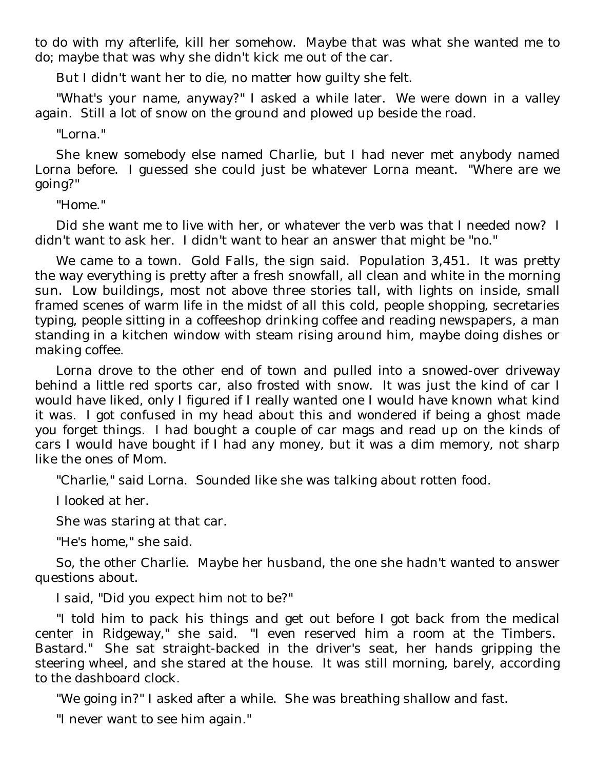to do with my afterlife, kill her somehow. Maybe that was what she wanted me to do; maybe that was why she didn't kick me out of the car.

But I didn't want her to die, no matter how guilty she felt.

"What's your name, anyway?" I asked a while later. We were down in a valley again. Still a lot of snow on the ground and plowed up beside the road.

"Lorna."

She knew somebody else named Charlie, but I had never met anybody named Lorna before. I guessed she could just be whatever Lorna meant. "Where are we going?"

"Home."

Did she want me to live with her, or whatever the verb was that I needed now? I didn't want to ask her. I didn't want to hear an answer that might be "no."

We came to a town. Gold Falls, the sign said. Population 3,451. It was pretty the way everything is pretty after a fresh snowfall, all clean and white in the morning sun. Low buildings, most not above three stories tall, with lights on inside, small framed scenes of warm life in the midst of all this cold, people shopping, secretaries typing, people sitting in a coffeeshop drinking coffee and reading newspapers, a man standing in a kitchen window with steam rising around him, maybe doing dishes or making coffee.

Lorna drove to the other end of town and pulled into a snowed-over driveway behind a little red sports car, also frosted with snow. It was just the kind of car I would have liked, only I figured if I really wanted one I would have known what kind it was. I got confused in my head about this and wondered if being a ghost made you forget things. I had bought a couple of car mags and read up on the kinds of cars I would have bought if I had any money, but it was a dim memory, not sharp like the ones of Mom.

"Charlie," said Lorna. Sounded like she was talking about rotten food.

I looked at her.

She was staring at that car.

"He's home," she said.

So, the other Charlie. Maybe her husband, the one she hadn't wanted to answer questions about.

I said, "Did you expect him not to be?"

"I told him to pack his things and get out before I got back from the medical center in Ridgeway," she said. "I even reserved him a room at the Timbers. Bastard." She sat straight-backed in the driver's seat, her hands gripping the steering wheel, and she stared at the house. It was still morning, barely, according to the dashboard clock.

"We going in?" I asked after a while. She was breathing shallow and fast.

"I never want to see him again."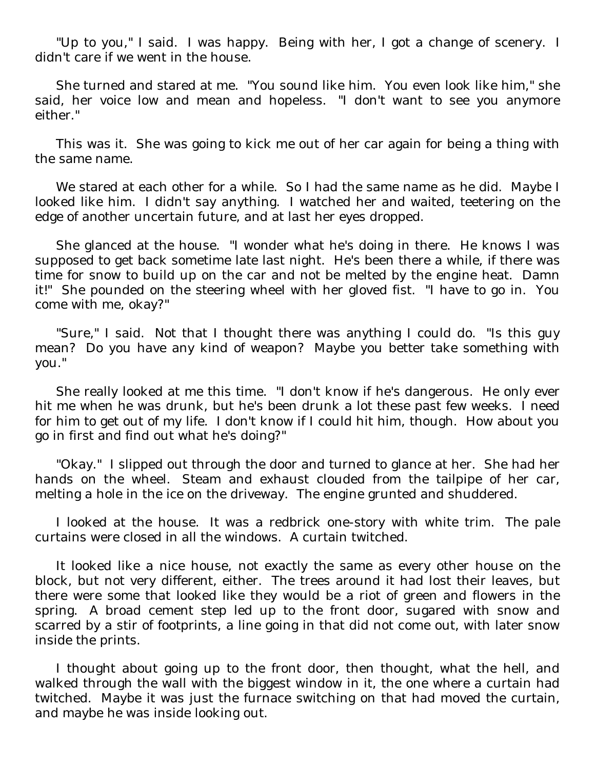"Up to you," I said. I was happy. Being with her, I got a change of scenery. I didn't care if we went in the house.

She turned and stared at me. "You sound like him. You even look like him," she said, her voice low and mean and hopeless. "I don't want to see you anymore either."

This was it. She was going to kick me out of her car again for being a thing with the same name.

We stared at each other for a while. So I had the same name as he did. Maybe I looked like him. I didn't say anything. I watched her and waited, teetering on the edge of another uncertain future, and at last her eyes dropped.

She glanced at the house. "I wonder what he's doing in there. He knows I was supposed to get back sometime late last night. He's been there a while, if there was time for snow to build up on the car and not be melted by the engine heat. Damn it!" She pounded on the steering wheel with her gloved fist. "I have to go in. You come with me, okay?"

"Sure," I said. Not that I thought there was anything I could do. "Is this guy mean? Do you have any kind of weapon? Maybe you better take something with you."

She really looked at me this time. "I don't know if he's dangerous. He only ever hit me when he was drunk, but he's been drunk a lot these past few weeks. I need for him to get out of my life. I don't know if I could hit him, though. How about you go in first and find out what he's doing?"

"Okay." I slipped out through the door and turned to glance at her. She had her hands on the wheel. Steam and exhaust clouded from the tailpipe of her car, melting a hole in the ice on the driveway. The engine grunted and shuddered.

I looked at the house. It was a redbrick one-story with white trim. The pale curtains were closed in all the windows. A curtain twitched.

It looked like a nice house, not exactly the same as every other house on the block, but not very different, either. The trees around it had lost their leaves, but there were some that looked like they would be a riot of green and flowers in the spring. A broad cement step led up to the front door, sugared with snow and scarred by a stir of footprints, a line going in that did not come out, with later snow inside the prints.

I thought about going up to the front door, then thought, what the hell, and walked through the wall with the biggest window in it, the one where a curtain had twitched. Maybe it was just the furnace switching on that had moved the curtain, and maybe he was inside looking out.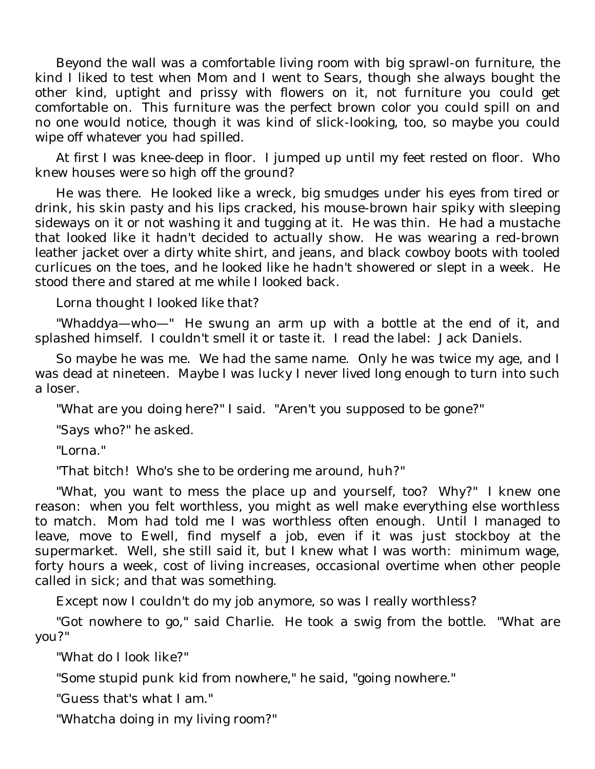Beyond the wall was a comfortable living room with big sprawl-on furniture, the kind I liked to test when Mom and I went to Sears, though she always bought the other kind, uptight and prissy with flowers on it, not furniture you could get comfortable on. This furniture was the perfect brown color you could spill on and no one would notice, though it was kind of slick-looking, too, so maybe you could wipe off whatever you had spilled.

At first I was knee-deep in floor. I jumped up until my feet rested on floor. Who knew houses were so high off the ground?

He was there. He looked like a wreck, big smudges under his eyes from tired or drink, his skin pasty and his lips cracked, his mouse-brown hair spiky with sleeping sideways on it or not washing it and tugging at it. He was thin. He had a mustache that looked like it hadn't decided to actually show. He was wearing a red-brown leather jacket over a dirty white shirt, and jeans, and black cowboy boots with tooled curlicues on the toes, and he looked like he hadn't showered or slept in a week. He stood there and stared at me while I looked back.

Lorna thought I looked like that?

"Whaddya—who—" He swung an arm up with a bottle at the end of it, and splashed himself. I couldn't smell it or taste it. I read the label: Jack Daniels.

So maybe he was me. We had the same name. Only he was twice my age, and I was dead at nineteen. Maybe I was lucky I never lived long enough to turn into such a loser.

"What are you doing here?" I said. "Aren't you supposed to be gone?"

"Says who?" he asked.

"Lorna."

"That bitch! Who's she to be ordering me around, huh?"

"What, you want to mess the place up and yourself, too? Why?" I knew one reason: when you felt worthless, you might as well make everything else worthless to match. Mom had told me I was worthless often enough. Until I managed to leave, move to Ewell, find myself a job, even if it was just stockboy at the supermarket. Well, she still said it, but I knew what I was worth: minimum wage, forty hours a week, cost of living increases, occasional overtime when other people called in sick; and that was something.

Except now I couldn't do my job anymore, so was I really worthless?

"Got nowhere to go," said Charlie. He took a swig from the bottle. "What are you?"

"What do I look like?"

"Some stupid punk kid from nowhere," he said, "going nowhere."

"Guess that's what I am."

"Whatcha doing in my living room?"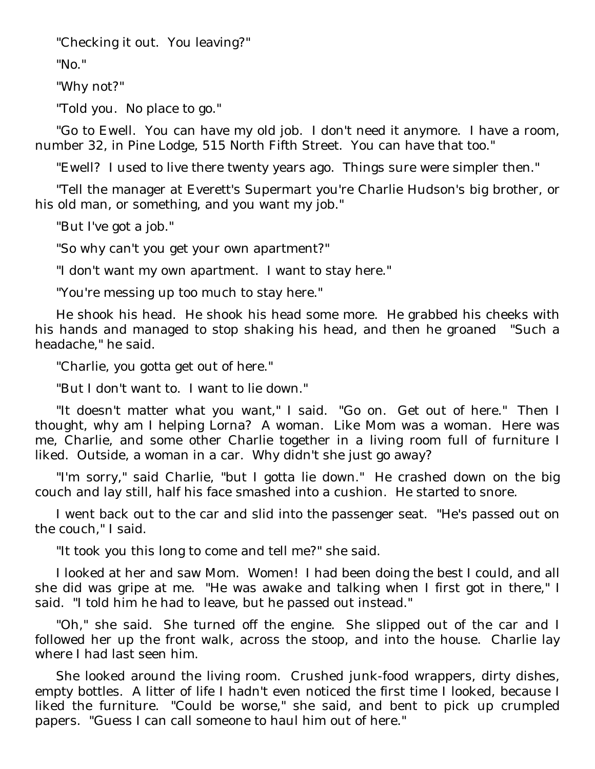"Checking it out. You leaving?"

"No."

"Why not?"

"Told you. No place to go."

"Go to Ewell. You can have my old job. I don't need it anymore. I have a room, number 32, in Pine Lodge, 515 North Fifth Street. You can have that too."

"Ewell? I used to live there twenty years ago. Things sure were simpler then."

"Tell the manager at Everett's Supermart you're Charlie Hudson's big brother, or his old man, or something, and you want my job."

"But I've got a job."

"So why can't you get your own apartment?"

"I don't want my own apartment. I want to stay here."

"You're messing up too much to stay here."

He shook his head. He shook his head some more. He grabbed his cheeks with his hands and managed to stop shaking his head, and then he groaned "Such a headache," he said.

"Charlie, you gotta get out of here."

"But I don't want to. I want to lie down."

"It doesn't matter what you want," I said. "Go on. Get out of here." Then I thought, why am I helping Lorna? A woman. Like Mom was a woman. Here was me, Charlie, and some other Charlie together in a living room full of furniture I liked. Outside, a woman in a car. Why didn't she just go away?

"I'm sorry," said Charlie, "but I gotta lie down." He crashed down on the big couch and lay still, half his face smashed into a cushion. He started to snore.

I went back out to the car and slid into the passenger seat. "He's passed out on the couch," I said.

"It took you this long to come and tell me?" she said.

I looked at her and saw Mom. Women! I had been doing the best I could, and all she did was gripe at me. "He was awake and talking when I first got in there," I said. "I told him he had to leave, but he passed out instead."

"Oh," she said. She turned off the engine. She slipped out of the car and I followed her up the front walk, across the stoop, and into the house. Charlie lay where I had last seen him.

She looked around the living room. Crushed junk-food wrappers, dirty dishes, empty bottles. A litter of life I hadn't even noticed the first time I looked, because I liked the furniture. "Could be worse," she said, and bent to pick up crumpled papers. "Guess I can call someone to haul him out of here."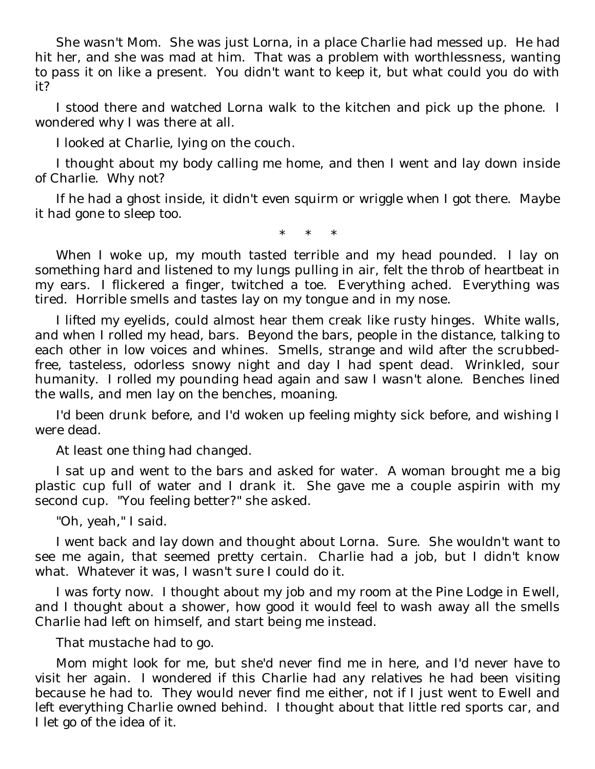She wasn't Mom. She was just Lorna, in a place Charlie had messed up. He had hit her, and she was mad at him. That was a problem with worthlessness, wanting to pass it on like a present. You didn't want to keep it, but what could you do with it?

I stood there and watched Lorna walk to the kitchen and pick up the phone. I wondered why I was there at all.

I looked at Charlie, lying on the couch.

I thought about my body calling me home, and then I went and lay down inside of Charlie. Why not?

If he had a ghost inside, it didn't even squirm or wriggle when I got there. Maybe it had gone to sleep too.

\* \* \*

When I woke up, my mouth tasted terrible and my head pounded. I lay on something hard and listened to my lungs pulling in air, felt the throb of heartbeat in my ears. I flickered a finger, twitched a toe. Everything ached. Everything was tired. Horrible smells and tastes lay on my tongue and in my nose.

I lifted my eyelids, could almost hear them creak like rusty hinges. White walls, and when I rolled my head, bars. Beyond the bars, people in the distance, talking to each other in low voices and whines. Smells, strange and wild after the scrubbedfree, tasteless, odorless snowy night and day I had spent dead. Wrinkled, sour humanity. I rolled my pounding head again and saw I wasn't alone. Benches lined the walls, and men lay on the benches, moaning.

I'd been drunk before, and I'd woken up feeling mighty sick before, and wishing I were dead.

At least one thing had changed.

I sat up and went to the bars and asked for water. A woman brought me a big plastic cup full of water and I drank it. She gave me a couple aspirin with my second cup. "You feeling better?" she asked.

"Oh, yeah," I said.

I went back and lay down and thought about Lorna. Sure. She wouldn't want to see me again, that seemed pretty certain. Charlie had a job, but I didn't know what. Whatever it was, I wasn't sure I could do it.

I was forty now. I thought about my job and my room at the Pine Lodge in Ewell, and I thought about a shower, how good it would feel to wash away all the smells Charlie had left on himself, and start being me instead.

That mustache had to go.

Mom might look for me, but she'd never find me in here, and I'd never have to visit her again. I wondered if this Charlie had any relatives he had been visiting because he had to. They would never find me either, not if I just went to Ewell and left everything Charlie owned behind. I thought about that little red sports car, and I let go of the idea of it.